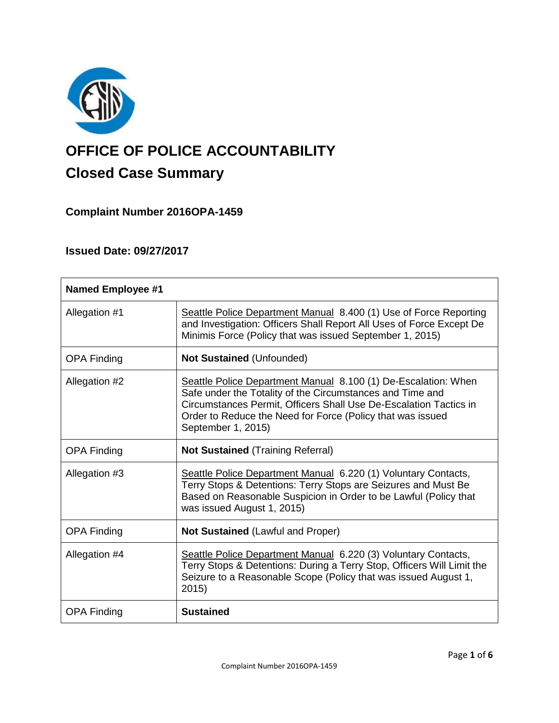

# **OFFICE OF POLICE ACCOUNTABILITY**

## **Closed Case Summary**

**Complaint Number 2016OPA-1459**

### **Issued Date: 09/27/2017**

| <b>Named Employee #1</b> |                                                                                                                                                                                                                                                                                      |
|--------------------------|--------------------------------------------------------------------------------------------------------------------------------------------------------------------------------------------------------------------------------------------------------------------------------------|
| Allegation #1            | Seattle Police Department Manual 8.400 (1) Use of Force Reporting<br>and Investigation: Officers Shall Report All Uses of Force Except De<br>Minimis Force (Policy that was issued September 1, 2015)                                                                                |
| <b>OPA Finding</b>       | <b>Not Sustained (Unfounded)</b>                                                                                                                                                                                                                                                     |
| Allegation #2            | Seattle Police Department Manual 8.100 (1) De-Escalation: When<br>Safe under the Totality of the Circumstances and Time and<br>Circumstances Permit, Officers Shall Use De-Escalation Tactics in<br>Order to Reduce the Need for Force (Policy that was issued<br>September 1, 2015) |
| <b>OPA Finding</b>       | <b>Not Sustained (Training Referral)</b>                                                                                                                                                                                                                                             |
| Allegation #3            | Seattle Police Department Manual 6.220 (1) Voluntary Contacts,<br>Terry Stops & Detentions: Terry Stops are Seizures and Must Be<br>Based on Reasonable Suspicion in Order to be Lawful (Policy that<br>was issued August 1, 2015)                                                   |
| <b>OPA Finding</b>       | <b>Not Sustained (Lawful and Proper)</b>                                                                                                                                                                                                                                             |
| Allegation #4            | Seattle Police Department Manual 6.220 (3) Voluntary Contacts,<br>Terry Stops & Detentions: During a Terry Stop, Officers Will Limit the<br>Seizure to a Reasonable Scope (Policy that was issued August 1,<br>2015)                                                                 |
| <b>OPA Finding</b>       | <b>Sustained</b>                                                                                                                                                                                                                                                                     |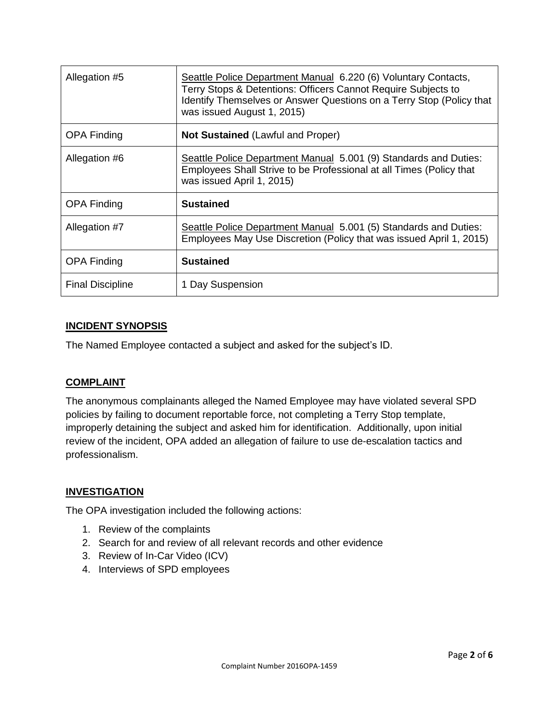| Allegation #5           | Seattle Police Department Manual 6.220 (6) Voluntary Contacts,<br>Terry Stops & Detentions: Officers Cannot Require Subjects to<br>Identify Themselves or Answer Questions on a Terry Stop (Policy that<br>was issued August 1, 2015) |
|-------------------------|---------------------------------------------------------------------------------------------------------------------------------------------------------------------------------------------------------------------------------------|
| <b>OPA Finding</b>      | <b>Not Sustained (Lawful and Proper)</b>                                                                                                                                                                                              |
| Allegation #6           | Seattle Police Department Manual 5.001 (9) Standards and Duties:<br>Employees Shall Strive to be Professional at all Times (Policy that<br>was issued April 1, 2015)                                                                  |
| <b>OPA Finding</b>      | <b>Sustained</b>                                                                                                                                                                                                                      |
| Allegation #7           | Seattle Police Department Manual 5.001 (5) Standards and Duties:<br>Employees May Use Discretion (Policy that was issued April 1, 2015)                                                                                               |
| <b>OPA Finding</b>      | <b>Sustained</b>                                                                                                                                                                                                                      |
| <b>Final Discipline</b> | 1 Day Suspension                                                                                                                                                                                                                      |

#### **INCIDENT SYNOPSIS**

The Named Employee contacted a subject and asked for the subject's ID.

#### **COMPLAINT**

The anonymous complainants alleged the Named Employee may have violated several SPD policies by failing to document reportable force, not completing a Terry Stop template, improperly detaining the subject and asked him for identification. Additionally, upon initial review of the incident, OPA added an allegation of failure to use de-escalation tactics and professionalism.

#### **INVESTIGATION**

The OPA investigation included the following actions:

- 1. Review of the complaints
- 2. Search for and review of all relevant records and other evidence
- 3. Review of In-Car Video (ICV)
- 4. Interviews of SPD employees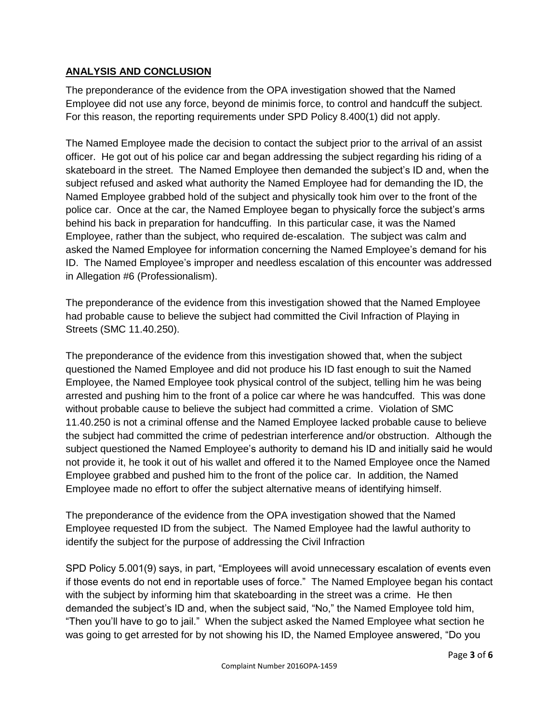#### **ANALYSIS AND CONCLUSION**

The preponderance of the evidence from the OPA investigation showed that the Named Employee did not use any force, beyond de minimis force, to control and handcuff the subject. For this reason, the reporting requirements under SPD Policy 8.400(1) did not apply.

The Named Employee made the decision to contact the subject prior to the arrival of an assist officer. He got out of his police car and began addressing the subject regarding his riding of a skateboard in the street. The Named Employee then demanded the subject's ID and, when the subject refused and asked what authority the Named Employee had for demanding the ID, the Named Employee grabbed hold of the subject and physically took him over to the front of the police car. Once at the car, the Named Employee began to physically force the subject's arms behind his back in preparation for handcuffing. In this particular case, it was the Named Employee, rather than the subject, who required de-escalation. The subject was calm and asked the Named Employee for information concerning the Named Employee's demand for his ID. The Named Employee's improper and needless escalation of this encounter was addressed in Allegation #6 (Professionalism).

The preponderance of the evidence from this investigation showed that the Named Employee had probable cause to believe the subject had committed the Civil Infraction of Playing in Streets (SMC 11.40.250).

The preponderance of the evidence from this investigation showed that, when the subject questioned the Named Employee and did not produce his ID fast enough to suit the Named Employee, the Named Employee took physical control of the subject, telling him he was being arrested and pushing him to the front of a police car where he was handcuffed. This was done without probable cause to believe the subject had committed a crime. Violation of SMC 11.40.250 is not a criminal offense and the Named Employee lacked probable cause to believe the subject had committed the crime of pedestrian interference and/or obstruction. Although the subject questioned the Named Employee's authority to demand his ID and initially said he would not provide it, he took it out of his wallet and offered it to the Named Employee once the Named Employee grabbed and pushed him to the front of the police car. In addition, the Named Employee made no effort to offer the subject alternative means of identifying himself.

The preponderance of the evidence from the OPA investigation showed that the Named Employee requested ID from the subject. The Named Employee had the lawful authority to identify the subject for the purpose of addressing the Civil Infraction

SPD Policy 5.001(9) says, in part, "Employees will avoid unnecessary escalation of events even if those events do not end in reportable uses of force." The Named Employee began his contact with the subject by informing him that skateboarding in the street was a crime. He then demanded the subject's ID and, when the subject said, "No," the Named Employee told him, "Then you'll have to go to jail." When the subject asked the Named Employee what section he was going to get arrested for by not showing his ID, the Named Employee answered, "Do you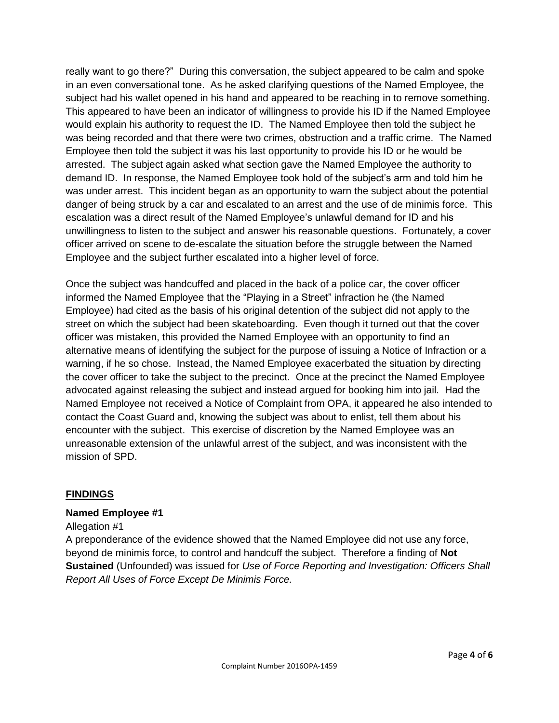really want to go there?" During this conversation, the subject appeared to be calm and spoke in an even conversational tone. As he asked clarifying questions of the Named Employee, the subject had his wallet opened in his hand and appeared to be reaching in to remove something. This appeared to have been an indicator of willingness to provide his ID if the Named Employee would explain his authority to request the ID. The Named Employee then told the subject he was being recorded and that there were two crimes, obstruction and a traffic crime. The Named Employee then told the subject it was his last opportunity to provide his ID or he would be arrested. The subject again asked what section gave the Named Employee the authority to demand ID. In response, the Named Employee took hold of the subject's arm and told him he was under arrest. This incident began as an opportunity to warn the subject about the potential danger of being struck by a car and escalated to an arrest and the use of de minimis force. This escalation was a direct result of the Named Employee's unlawful demand for ID and his unwillingness to listen to the subject and answer his reasonable questions. Fortunately, a cover officer arrived on scene to de-escalate the situation before the struggle between the Named Employee and the subject further escalated into a higher level of force.

Once the subject was handcuffed and placed in the back of a police car, the cover officer informed the Named Employee that the "Playing in a Street" infraction he (the Named Employee) had cited as the basis of his original detention of the subject did not apply to the street on which the subject had been skateboarding. Even though it turned out that the cover officer was mistaken, this provided the Named Employee with an opportunity to find an alternative means of identifying the subject for the purpose of issuing a Notice of Infraction or a warning, if he so chose. Instead, the Named Employee exacerbated the situation by directing the cover officer to take the subject to the precinct. Once at the precinct the Named Employee advocated against releasing the subject and instead argued for booking him into jail. Had the Named Employee not received a Notice of Complaint from OPA, it appeared he also intended to contact the Coast Guard and, knowing the subject was about to enlist, tell them about his encounter with the subject. This exercise of discretion by the Named Employee was an unreasonable extension of the unlawful arrest of the subject, and was inconsistent with the mission of SPD.

#### **FINDINGS**

#### **Named Employee #1**

#### Allegation #1

A preponderance of the evidence showed that the Named Employee did not use any force, beyond de minimis force, to control and handcuff the subject. Therefore a finding of **Not Sustained** (Unfounded) was issued for *Use of Force Reporting and Investigation: Officers Shall Report All Uses of Force Except De Minimis Force.*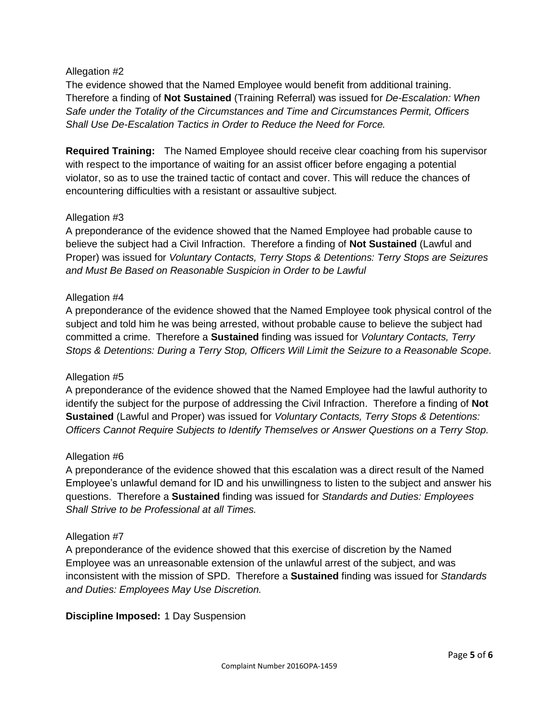#### Allegation #2

The evidence showed that the Named Employee would benefit from additional training. Therefore a finding of **Not Sustained** (Training Referral) was issued for *De-Escalation: When Safe under the Totality of the Circumstances and Time and Circumstances Permit, Officers Shall Use De-Escalation Tactics in Order to Reduce the Need for Force.*

**Required Training:** The Named Employee should receive clear coaching from his supervisor with respect to the importance of waiting for an assist officer before engaging a potential violator, so as to use the trained tactic of contact and cover. This will reduce the chances of encountering difficulties with a resistant or assaultive subject.

#### Allegation #3

A preponderance of the evidence showed that the Named Employee had probable cause to believe the subject had a Civil Infraction. Therefore a finding of **Not Sustained** (Lawful and Proper) was issued for *Voluntary Contacts, Terry Stops & Detentions: Terry Stops are Seizures and Must Be Based on Reasonable Suspicion in Order to be Lawful*

#### Allegation #4

A preponderance of the evidence showed that the Named Employee took physical control of the subject and told him he was being arrested, without probable cause to believe the subject had committed a crime. Therefore a **Sustained** finding was issued for *Voluntary Contacts, Terry Stops & Detentions: During a Terry Stop, Officers Will Limit the Seizure to a Reasonable Scope.*

#### Allegation #5

A preponderance of the evidence showed that the Named Employee had the lawful authority to identify the subject for the purpose of addressing the Civil Infraction. Therefore a finding of **Not Sustained** (Lawful and Proper) was issued for *Voluntary Contacts, Terry Stops & Detentions: Officers Cannot Require Subjects to Identify Themselves or Answer Questions on a Terry Stop.*

#### Allegation #6

A preponderance of the evidence showed that this escalation was a direct result of the Named Employee's unlawful demand for ID and his unwillingness to listen to the subject and answer his questions. Therefore a **Sustained** finding was issued for *Standards and Duties: Employees Shall Strive to be Professional at all Times.*

#### Allegation #7

A preponderance of the evidence showed that this exercise of discretion by the Named Employee was an unreasonable extension of the unlawful arrest of the subject, and was inconsistent with the mission of SPD. Therefore a **Sustained** finding was issued for *Standards and Duties: Employees May Use Discretion.*

**Discipline Imposed:** 1 Day Suspension